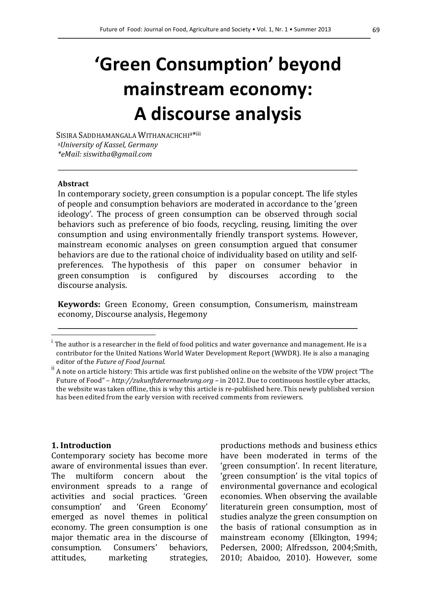# **'Green Consumption' beyond mainstream economy: A discourse analysis**

SISIRA SADDHAMANGALA WITHANACHCHI<sup>a\*iii</sup> <sup>a</sup>*University of Kassel, Germany \*eMail: siswitha@gmail.com*

#### **Abstract**

 $\overline{a}$ 

In contemporary society, green consumption is a popular concept. The life styles of people and consumption behaviors are moderated in accordance to the 'green ideology'. The process of green consumption can be observed through social behaviors such as preference of bio foods, recycling, reusing, limiting the over consumption and using environmentally friendly transport systems. However, mainstream economic analyses on green consumption argued that consumer behaviors are due to the rational choice of individuality based on utility and selfpreferences. The hypothesis of this paper on consumer behavior in green consumption is configured by discourses according to the discourse analysis.

**Keywords:** Green Economy, Green consumption, Consumerism, mainstream economy, Discourse analysis, Hegemony

#### **1. Introduction**

Contemporary society has become more aware of environmental issues than ever. The multiform concern about the environment spreads to a range of activities and social practices. 'Green consumption' and 'Green Economy' emerged as novel themes in political economy. The green consumption is one major thematic area in the discourse of consumption. Consumers' behaviors, attitudes, marketing strategies,

productions methods and business ethics have been moderated in terms of the 'green consumption'. In recent literature, 'green consumption' is the vital topics of environmental governance and ecological economies. When observing the available literaturein green consumption, most of studies analyze the green consumption on the basis of rational consumption as in mainstream economy (Elkington, 1994; Pedersen, 2000; Alfredsson, 2004;Smith, 2010; Abaidoo, 2010). However, some

i The author is a researcher in the field of food politics and water governance and management. He is a contributor for the United Nations World Water Development Report (WWDR). He is also a managing editor of the *Future of Food Journal*.<br>A note on article history: This article was first published online on the website of the VDW project "The

Future of Food" - http://zukunftderernaehrung.org - in 2012. Due to continuous hostile cyber attacks, the website was taken offline, this is why this article is re-published here. This newly published version has been edited from the early version with received comments from reviewers.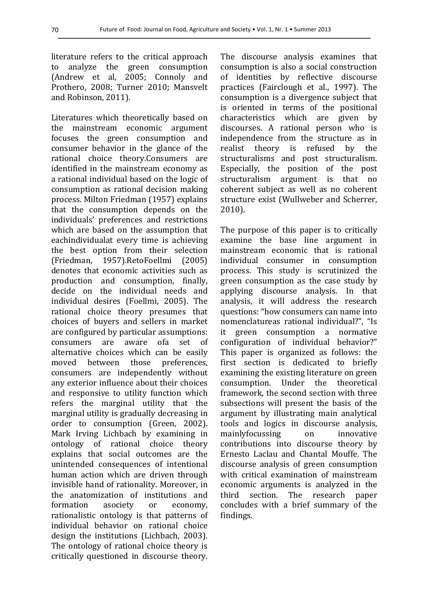literature refers to the critical approach to analyze the green consumption (Andrew et al, 2005; Connoly and Prothero, 2008; Turner 2010; Mansvelt and Robinson, 2011).

Literatures which theoretically based on the mainstream economic argument focuses the green consumption and consumer behavior in the glance of the rational choice theory.Consumers are identified in the mainstream economy as a rational individual based on the logic of consumption as rational decision making process. Milton Friedman (1957) explains that the consumption depends on the individuals' preferences and restrictions which are based on the assumption that eachindividualat every time is achieving the best option from their selection (Friedman, 1957).RetoFoellmi (2005) denotes that economic activities such as production and consumption, finally, decide on the individual needs and individual desires (Foellmi, 2005). The rational choice theory presumes that choices of buyers and sellers in market are configured by particular assumptions: consumers are aware ofa set of alternative choices which can be easily moved between those preferences, consumers are independently without any exterior influence about their choices and responsive to utility function which refers the marginal utility that the marginal utility is gradually decreasing in order to consumption (Green, 2002). Mark Irving Lichbach by examining in ontology of rational choice theory explains that social outcomes are the unintended consequences of intentional human action which are driven through invisible hand of rationality. Moreover, in the anatomization of institutions and formation asociety or economy, rationalistic ontology is that patterns of individual behavior on rational choice design the institutions (Lichbach, 2003). The ontology of rational choice theory is critically questioned in discourse theory.

The discourse analysis examines that consumption is also a social construction of identities by reflective discourse practices (Fairclough et al., 1997). The consumption is a divergence subject that is oriented in terms of the positional characteristics which are given by discourses. A rational person who is independence from the structure as in realist theory is refused by the structuralisms and post structuralism. Especially, the position of the post structuralism argument is that no coherent subject as well as no coherent structure exist (Wullweber and Scherrer, 2010).

The purpose of this paper is to critically examine the base line argument in mainstream economic that is rational individual consumer in consumption process. This study is scrutinized the green consumption as the case study by applying discourse analysis. In that analysis, it will address the research questions: "how consumers can name into nomenclatureas rational individual?", "Is it green consumption a normative configuration of individual behavior?" This paper is organized as follows: the first section is dedicated to briefly examining the existing literature on green consumption. Under the theoretical framework, the second section with three subsections will present the basis of the argument by illustrating main analytical tools and logics in discourse analysis, mainlyfocussing on innovative contributions into discourse theory by Ernesto Laclau and Chantal Mouffe. The discourse analysis of green consumption with critical examination of mainstream economic arguments is analyzed in the third section. The research paper concludes with a brief summary of the findings.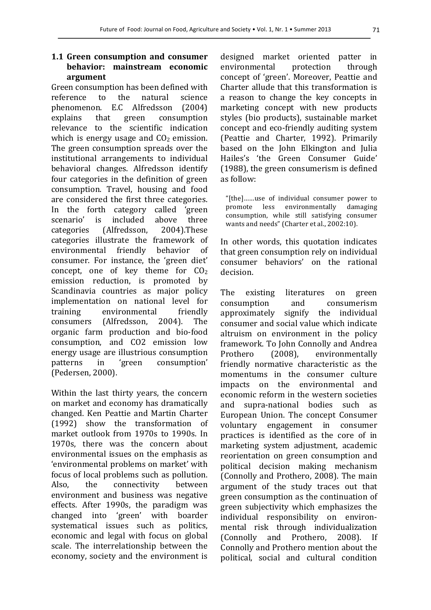## 1.1 Green consumption and consumer **behavior: mainstream economic argument**

Green consumption has been defined with reference to the natural science phenomenon. E.C Alfredsson (2004) explains that green consumption relevance to the scientific indication which is energy usage and  $CO<sub>2</sub>$  emission. The green consumption spreads over the institutional arrangements to individual behavioral changes. Alfredsson identify four categories in the definition of green consumption. Travel, housing and food are considered the first three categories. In the forth category called 'green scenario' is included above three categories (Alfredsson, 2004).These categories illustrate the framework of environmental friendly behavior of consumer. For instance, the 'green diet' concept, one of key theme for  $CO<sub>2</sub>$ emission reduction, is promoted by Scandinavia countries as major policy implementation on national level for training environmental friendly consumers (Alfredsson, 2004). The organic farm production and bio-food consumption, and CO2 emission low energy usage are illustrious consumption patterns in 'green consumption' (Pedersen, 2000).

Within the last thirty years, the concern on market and economy has dramatically changed. Ken Peattie and Martin Charter (1992) show the transformation of market outlook from 1970s to 1990s. In 1970s, there was the concern about environmental issues on the emphasis as 'environmental problems on market' with focus of local problems such as pollution. Also, the connectivity between environment and business was negative effects. After 1990s, the paradigm was changed into 'green' with boarder systematical issues such as politics, economic and legal with focus on global scale. The interrelationship between the economy, society and the environment is

designed market oriented patter in environmental protection through concept of 'green'. Moreover, Peattie and Charter allude that this transformation is a reason to change the key concepts in marketing concept with new products styles (bio products), sustainable market concept and eco-friendly auditing system (Peattie and Charter, 1992). Primarily based on the John Elkington and Julia Hailes's 'the Green Consumer Guide'  $(1988)$ , the green consumerism is defined as follow:

"[the]......use of individual consumer power to promote less environmentally damaging consumption, while still satisfying consumer wants and needs" (Charter et al., 2002:10).

In other words, this quotation indicates that green consumption rely on individual consumer behaviors' on the rational decision. 

The existing literatures on green consumption and consumerism approximately signify the individual consumer and social value which indicate altruism on environment in the policy framework. To John Connolly and Andrea Prothero (2008), environmentally friendly normative characteristic as the momentums in the consumer culture impacts on the environmental and economic reform in the western societies and supra-national bodies such as European Union. The concept Consumer voluntary engagement in consumer practices is identified as the core of in marketing system adjustment, academic reorientation on green consumption and political decision making mechanism (Connolly and Prothero, 2008). The main argument of the study traces out that green consumption as the continuation of green subjectivity which emphasizes the individual responsibility on environmental risk through individualization (Connolly and Prothero, 2008). If Connolly and Prothero mention about the political, social and cultural condition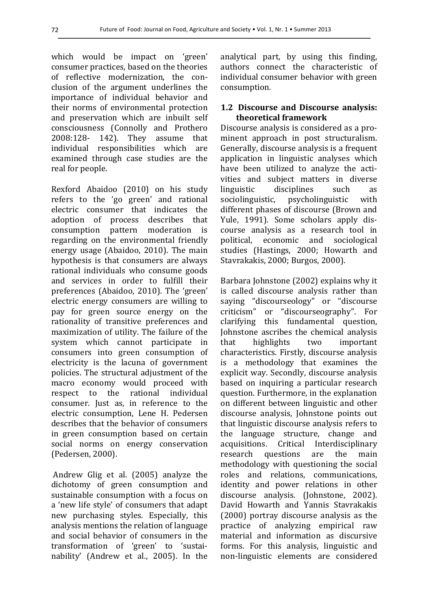which would be impact on 'green' consumer practices, based on the theories of reflective modernization, the conclusion of the argument underlines the importance of individual behavior and their norms of environmental protection and preservation which are inbuilt self consciousness (Connolly and Prothero 2008:128- 142). They assume that individual responsibilities which are examined through case studies are the real for people.

Rexford Abaidoo (2010) on his study refers to the 'go green' and rational electric consumer that indicates the adoption of process describes that consumption pattern moderation is regarding on the environmental friendly energy usage (Abaidoo, 2010). The main hypothesis is that consumers are always rational individuals who consume goods and services in order to fulfill their preferences (Abaidoo, 2010). The 'green' electric energy consumers are willing to pay for green source energy on the rationality of transitive preferences and maximization of utility. The failure of the system which cannot participate in consumers into green consumption of electricity is the lacuna of government policies. The structural adjustment of the macro economy would proceed with respect to the rational individual consumer. Just as, in reference to the electric consumption, Lene H. Pedersen describes that the behavior of consumers in green consumption based on certain social norms on energy conservation (Pedersen, 2000).

Andrew Glig et al. (2005) analyze the dichotomy of green consumption and sustainable consumption with a focus on a 'new life style' of consumers that adapt new purchasing styles. Especially, this analysis mentions the relation of language and social behavior of consumers in the transformation of 'green' to 'sustainability' (Andrew et al., 2005). In the

analytical part, by using this finding, authors connect the characteristic of individual consumer behavior with green consumption. 

## 1.2 Discourse and Discourse analysis: **theoretical framework**

Discourse analysis is considered as a prominent approach in post structuralism. Generally, discourse analysis is a frequent application in linguistic analyses which have been utilized to analyze the activities and subject matters in diverse linguistic disciplines such as sociolinguistic, psycholinguistic with different phases of discourse (Brown and Yule, 1991). Some scholars apply discourse analysis as a research tool in political, economic and sociological studies (Hastings, 2000; Howarth and Stavrakakis, 2000; Burgos, 2000).

Barbara Johnstone (2002) explains why it is called discourse analysis rather than saying "discourseology" or "discourse criticism" or "discourseography". For clarifying this fundamental question, Johnstone ascribes the chemical analysis that highlights two important characteristics. Firstly, discourse analysis is a methodology that examines the explicit way. Secondly, discourse analysis based on inquiring a particular research question. Furthermore, in the explanation on different between linguistic and other discourse analysis, Johnstone points out that linguistic discourse analysis refers to the language structure, change and acquisitions. Critical Interdisciplinary research questions are the main methodology with questioning the social roles and relations, communications, identity and power relations in other discourse analysis. (Johnstone, 2002). David Howarth and Yannis Stavrakakis  $(2000)$  portray discourse analysis as the practice of analyzing empirical raw material and information as discursive forms. For this analysis, linguistic and non-linguistic elements are considered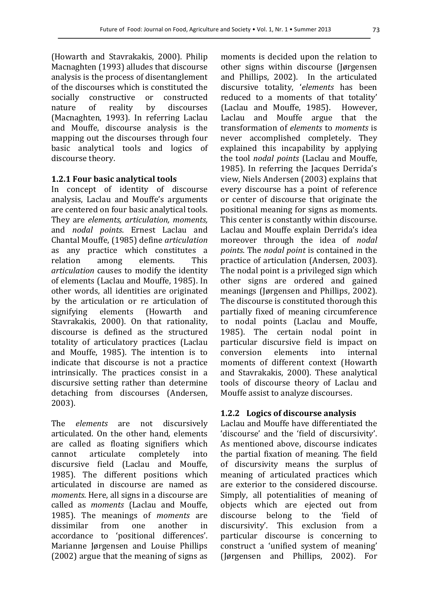(Howarth and Stavrakakis, 2000). Philip Macnaghten (1993) alludes that discourse analysis is the process of disentanglement of the discourses which is constituted the socially constructive or constructed nature of reality by discourses (Macnaghten, 1993). In referring Laclau and Mouffe, discourse analysis is the mapping out the discourses through four basic analytical tools and logics of discourse theory.

#### **1.2.1 Four basic analytical tools**

In concept of identity of discourse analysis, Laclau and Mouffe's arguments are centered on four basic analytical tools. They are *elements, articulation, moments,* and *nodal points*. Ernest Laclau and Chantal Mouffe, (1985) define *articulation*  as any practice which constitutes a relation among elements. This articulation causes to modify the identity of elements (Laclau and Mouffe, 1985). In other words, all identities are originated by the articulation or re articulation of signifying elements (Howarth and Stavrakakis, 2000). On that rationality, discourse is defined as the structured totality of articulatory practices (Laclau and Mouffe, 1985). The intention is to indicate that discourse is not a practice intrinsically. The practices consist in a discursive setting rather than determine detaching from discourses (Andersen, 2003). 

The *elements* are not discursively articulated. On the other hand, elements are called as floating signifiers which cannot articulate completely into discursive field (Laclau and Mouffe, 1985). The different positions which articulated in discourse are named as *moments*. Here, all signs in a discourse are called as *moments*  (Laclau and Mouffe, 1985). The meanings of *moments* are dissimilar from one another in accordance to 'positional differences'. Marianne Jørgensen and Louise Phillips  $(2002)$  argue that the meaning of signs as

moments is decided upon the relation to other signs within discourse (Jørgensen and Phillips, 2002). In the articulated discursive totality, '*elements*  has been reduced to a moments of that totality' (Laclau and Mouffe, 1985). However, Laclau and Mouffe argue that the transformation of *elements* to *moments* is never accomplished completely. They explained this incapability by applying the tool *nodal points* (Laclau and Mouffe, 1985). In referring the Jacques Derrida's view, Niels Andersen (2003) explains that every discourse has a point of reference or center of discourse that originate the positional meaning for signs as moments. This center is constantly within discourse. Laclau and Mouffe explain Derrida's idea moreover through the idea of *nodal points*. The *nodal point* is contained in the practice of articulation (Andersen, 2003). The nodal point is a privileged sign which other signs are ordered and gained meanings (Jørgensen and Phillips, 2002). The discourse is constituted thorough this partially fixed of meaning circumference to nodal points (Laclau and Mouffe, 1985). The certain nodal point in particular discursive field is impact on conversion elements into internal moments of different context (Howarth and Stavrakakis, 2000). These analytical tools of discourse theory of Laclau and Mouffe assist to analyze discourses.

#### **1.2.2** Logics of discourse analysis

Laclau and Mouffe have differentiated the 'discourse' and the 'field of discursivity'. As mentioned above, discourse indicates the partial fixation of meaning. The field of discursivity means the surplus of meaning of articulated practices which are exterior to the considered discourse. Simply, all potentialities of meaning of objects which are ejected out from discourse belong to the 'field of discursivity'. This exclusion from a particular discourse is concerning to construct a 'unified system of meaning' (Jørgensen and Phillips, 2002). For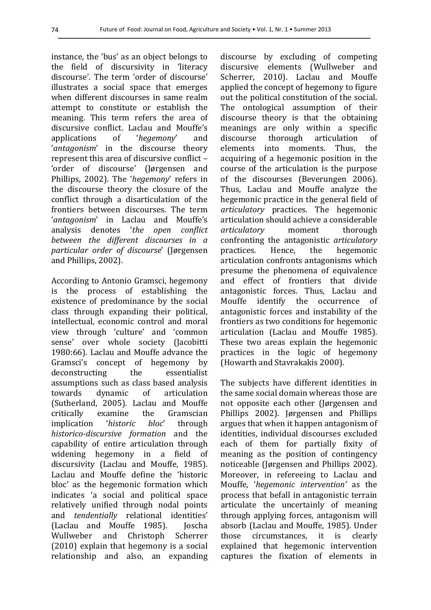instance, the 'bus' as an object belongs to the field of discursivity in 'literacy discourse'. The term 'order of discourse' illustrates a social space that emerges when different discourses in same realm attempt to constitute or establish the meaning. This term refers the area of discursive conflict. Laclau and Mouffe's applications of '*hegemony*' and '*antagonism*' in the discourse theory represent this area of discursive conflict -'order of discourse' (Jørgensen and Phillips, 2002). The '*hegemony*' refers in the discourse theory the closure of the conflict through a disarticulation of the frontiers between discourses. The term '*antagonism*' in Laclau and Mouffe's analysis denotes '*the open conflict between the different discourses in a particular order of discourse*' (Jørgensen and Phillips, 2002).

According to Antonio Gramsci, hegemony is the process of establishing the existence of predominance by the social class through expanding their political, intellectual, economic control and moral view through 'culture' and 'common sense' over whole society (Jacobitti 1980:66). Laclau and Mouffe advance the Gramsci's concept of hegemony by deconstructing the essentialist assumptions such as class based analysis towards dynamic of articulation (Sutherland, 2005). Laclau and Mouffe critically examine the Gramscian implication '*historic bloc*' through *historico-discursive formation* and the capability of entire articulation through widening hegemony in a field of discursivity (Laclau and Mouffe, 1985). Laclau and Mouffe define the 'historic bloc' as the hegemonic formation which indicates 'a social and political space relatively unified through nodal points and *tendentially* relational identities' (Laclau and Mouffe 1985). Joscha Wullweber and Christoph Scherrer  $(2010)$  explain that hegemony is a social relationship and also, an expanding discourse by excluding of competing discursive elements (Wullweber and Scherrer, 2010). Laclau and Mouffe applied the concept of hegemony to figure out the political constitution of the social. The ontological assumption of their discourse theory is that the obtaining meanings are only within a specific discourse thorough articulation of elements into moments. Thus, the acquiring of a hegemonic position in the course of the articulation is the purpose of the discourses (Beverungen 2006). Thus, Laclau and Mouffe analyze the hegemonic practice in the general field of *articulatory* practices. The hegemonic articulation should achieve a considerable *articulatory*  moment thorough confronting the antagonistic *articulatory* practices. Hence, the hegemonic articulation confronts antagonisms which presume the phenomena of equivalence and effect of frontiers that divide antagonistic forces. Thus, Laclau and Mouffe identify the occurrence of antagonistic forces and instability of the frontiers as two conditions for hegemonic articulation (Laclau and Mouffe 1985). These two areas explain the hegemonic practices in the logic of hegemony (Howarth and Stavrakakis 2000).

The subjects have different identities in the same social domain whereas those are not opposite each other (Jørgensen and Phillips 2002). Jørgensen and Phillips argues that when it happen antagonism of identities, individual discourses excluded each of them for partially fixity of meaning as the position of contingency noticeable (Jørgensen and Phillips 2002). Moreover, in refereeing to Laclau and Mouffe, '*hegemonic intervention'* as the process that befall in antagonistic terrain articulate the uncertainly of meaning through applying forces, antagonism will absorb (Laclau and Mouffe, 1985). Under those circumstances, it is clearly explained that hegemonic intervention captures the fixation of elements in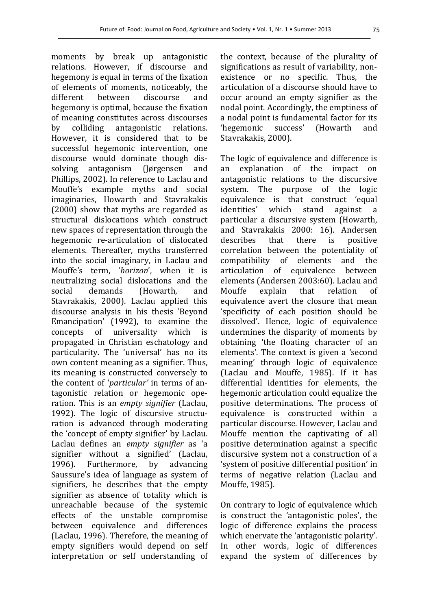moments by break up antagonistic relations. However, if discourse and hegemony is equal in terms of the fixation of elements of moments, noticeably, the different between discourse and hegemony is optimal, because the fixation of meaning constitutes across discourses by colliding antagonistic relations. However, it is considered that to be successful hegemonic intervention, one discourse would dominate though dissolving antagonism (Jørgensen and Phillips, 2002). In reference to Laclau and Mouffe's example myths and social imaginaries, Howarth and Stavrakakis  $(2000)$  show that myths are regarded as structural dislocations which construct new spaces of representation through the hegemonic re-articulation of dislocated elements. Thereafter, myths transferred into the social imaginary, in Laclau and Mouffe's term, 'horizon', when it is neutralizing social dislocations and the social demands (Howarth, and Stavrakakis, 2000). Laclau applied this discourse analysis in his thesis 'Beyond Emancipation' (1992), to examine the concepts of universality which is propagated in Christian eschatology and particularity. The 'universal' has no its own content meaning as a signifier. Thus, its meaning is constructed conversely to the content of '*particular'* in terms of antagonistic relation or hegemonic operation. This is an *empty signifier* (Laclau, 1992). The logic of discursive structuration is advanced through moderating the 'concept of empty signifier' by Laclau. Laclau defines an *empty signifier* as 'a signifier without a signified' (Laclau, 1996). Furthermore, by advancing Saussure's idea of language as system of signifiers, he describes that the empty signifier as absence of totality which is unreachable because of the systemic effects of the unstable compromise between equivalence and differences (Laclau, 1996). Therefore, the meaning of empty signifiers would depend on self interpretation or self understanding of the context, because of the plurality of significations as result of variability, nonexistence or no specific. Thus, the articulation of a discourse should have to occur around an empty signifier as the nodal point. Accordingly, the emptiness of a nodal point is fundamental factor for its 'hegemonic success' (Howarth and Stavrakakis, 2000).

The logic of equivalence and difference is an explanation of the impact on antagonistic relations to the discursive system. The purpose of the logic equivalence is that construct 'equal identities' which stand against a particular a discursive system (Howarth, and Stavrakakis 2000: 16). Andersen describes that there is positive correlation between the potentiality of compatibility of elements and the articulation of equivalence between elements (Andersen 2003:60). Laclau and Mouffe explain that relation of equivalence avert the closure that mean 'specificity of each position should be dissolved'. Hence, logic of equivalence undermines the disparity of moments by obtaining 'the floating character of an elements'. The context is given a 'second meaning' through logic of equivalence (Laclau and Mouffe, 1985). If it has differential identities for elements, the hegemonic articulation could equalize the positive determinations. The process of equivalence is constructed within a particular discourse. However, Laclau and Mouffe mention the captivating of all positive determination against a specific discursive system not a construction of a 'system of positive differential position' in terms of negative relation (Laclau and Mouffe, 1985).

On contrary to logic of equivalence which is construct the 'antagonistic poles', the logic of difference explains the process which enervate the 'antagonistic polarity'. In other words, logic of differences expand the system of differences by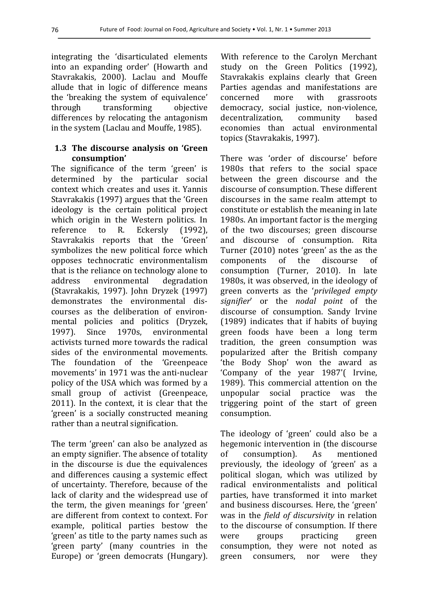integrating the 'disarticulated elements into an expanding order' (Howarth and Stavrakakis, 2000). Laclau and Mouffe allude that in logic of difference means the 'breaking the system of equivalence' through transforming objective differences by relocating the antagonism in the system (Laclau and Mouffe, 1985).

## **1.3** The discourse analysis on 'Green **consumption'**

The significance of the term 'green' is determined by the particular social context which creates and uses it. Yannis Stavrakakis (1997) argues that the 'Green ideology is the certain political project which origin in the Western politics. In reference to R. Eckersly (1992), Stavrakakis reports that the 'Green' symbolizes the new political force which opposes technocratic environmentalism that is the reliance on technology alone to address environmental degradation (Stavrakakis, 1997). John Dryzek (1997) demonstrates the environmental discourses as the deliberation of environmental policies and politics (Dryzek, 1997). Since 1970s, environmental activists turned more towards the radical sides of the environmental movements. The foundation of the 'Greenpeace movements' in 1971 was the anti-nuclear policy of the USA which was formed by a small group of activist (Greenpeace,  $2011$ ). In the context, it is clear that the 'green' is a socially constructed meaning rather than a neutral signification.

The term 'green' can also be analyzed as an empty signifier. The absence of totality in the discourse is due the equivalences and differences causing a systemic effect of uncertainty. Therefore, because of the lack of clarity and the widespread use of the term, the given meanings for 'green' are different from context to context. For example, political parties bestow the 'green' as title to the party names such as 'green party' (many countries in the Europe) or 'green democrats (Hungary).

With reference to the Carolyn Merchant study on the Green Politics (1992), Stavrakakis explains clearly that Green Parties agendas and manifestations are concerned more with grassroots democracy, social justice, non-violence, decentralization, community based economies than actual environmental topics (Stavrakakis, 1997).

There was 'order of discourse' before 1980s that refers to the social space between the green discourse and the discourse of consumption. These different discourses in the same realm attempt to constitute or establish the meaning in late 1980s. An important factor is the merging of the two discourses; green discourse and discourse of consumption. Rita Turner (2010) notes 'green' as the as the components of the discourse of consumption (Turner, 2010). In late 1980s, it was observed, in the ideology of green converts as the '*privileged empty signifier*' or the *nodal point*  of the discourse of consumption. Sandy Irvine  $(1989)$  indicates that if habits of buying green foods have been a long term tradition, the green consumption was popularized after the British company 'the Body Shop' won the award as 'Company of the year 1987'( Irvine, 1989). This commercial attention on the unpopular social practice was the triggering point of the start of green consumption. 

The ideology of 'green' could also be a hegemonic intervention in (the discourse of consumption). As mentioned previously, the ideology of 'green' as a political slogan, which was utilized by radical environmentalists and political parties, have transformed it into market and business discourses. Here, the 'green' was in the *field of discursivity* in relation to the discourse of consumption. If there were groups practicing green consumption, they were not noted as green consumers, nor were they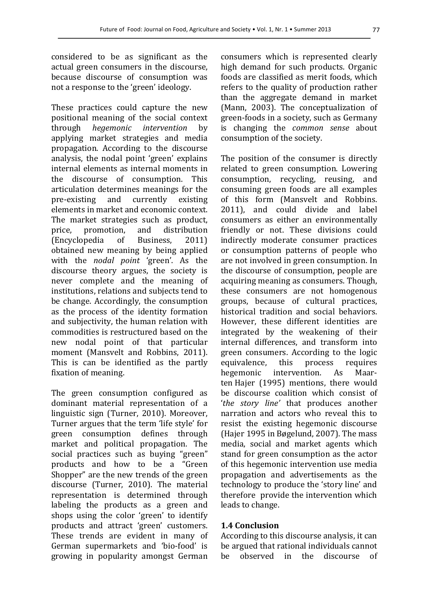considered to be as significant as the actual green consumers in the discourse. because discourse of consumption was not a response to the 'green' ideology.

These practices could capture the new positional meaning of the social context through *hegemonic intervention*  by applying market strategies and media propagation. According to the discourse analysis, the nodal point 'green' explains internal elements as internal moments in the discourse of consumption. This articulation determines meanings for the pre-existing and currently existing elements in market and economic context. The market strategies such as product, price, promotion, and distribution (Encyclopedia of Business, 2011) obtained new meaning by being applied with the *nodal point* 'green'. As the discourse theory argues, the society is never complete and the meaning of institutions, relations and subjects tend to be change. Accordingly, the consumption as the process of the identity formation and subjectivity, the human relation with commodities is restructured based on the new nodal point of that particular moment (Mansvelt and Robbins, 2011). This is can be identified as the partly fixation of meaning.

The green consumption configured as dominant material representation of a linguistic sign (Turner, 2010). Moreover, Turner argues that the term 'life style' for green consumption defines through market and political propagation. The social practices such as buying "green" products and how to be a "Green Shopper" are the new trends of the green discourse (Turner, 2010). The material representation is determined through labeling the products as a green and shops using the color 'green' to identify products and attract 'green' customers. These trends are evident in many of German supermarkets and 'bio-food' is growing in popularity amongst German

consumers which is represented clearly high demand for such products. Organic foods are classified as merit foods, which refers to the quality of production rather than the aggregate demand in market (Mann, 2003). The conceptualization of green-foods in a society, such as Germany is changing the *common sense*  about consumption of the society.

The position of the consumer is directly related to green consumption. Lowering consumption, recycling, reusing, and consuming green foods are all examples of this form (Mansvelt and Robbins. 2011), and could divide and label consumers as either an environmentally friendly or not. These divisions could indirectly moderate consumer practices or consumption patterns of people who are not involved in green consumption. In the discourse of consumption, people are acquiring meaning as consumers. Though, these consumers are not homogenous groups, because of cultural practices, historical tradition and social behaviors. However, these different identities are integrated by the weakening of their internal differences, and transform into green consumers. According to the logic equivalence, this process requires hegemonic intervention. As Maarten Hajer (1995) mentions, there would be discourse coalition which consist of '*the story line'* that produces another narration and actors who reveal this to resist the existing hegemonic discourse (Hajer 1995 in Bøgelund, 2007). The mass media, social and market agents which stand for green consumption as the actor of this hegemonic intervention use media propagation and advertisements as the technology to produce the 'story line' and therefore provide the intervention which leads to change.

### **1.4 Conclusion**

According to this discourse analysis, it can be argued that rational individuals cannot be observed in the discourse of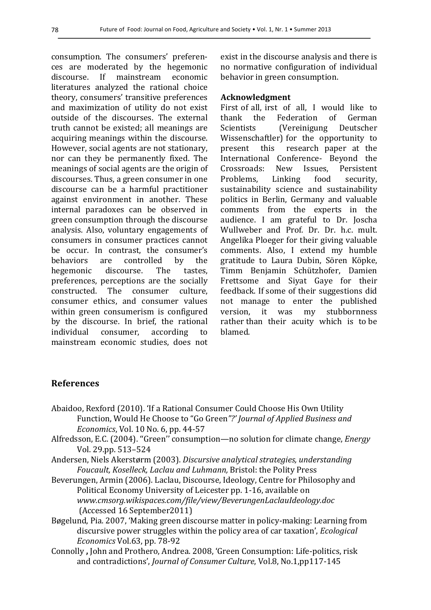consumption. The consumers' preferences are moderated by the hegemonic discourse. If mainstream economic literatures analyzed the rational choice theory, consumers' transitive preferences and maximization of utility do not exist outside of the discourses. The external truth cannot be existed; all meanings are acquiring meanings within the discourse. However, social agents are not stationary. nor can they be permanently fixed. The meanings of social agents are the origin of discourses. Thus, a green consumer in one discourse can be a harmful practitioner against environment in another. These internal paradoxes can be observed in green consumption through the discourse analysis. Also, voluntary engagements of consumers in consumer practices cannot be occur. In contrast, the consumer's behaviors are controlled by the hegemonic discourse. The tastes, preferences, perceptions are the socially constructed. The consumer culture, consumer ethics, and consumer values within green consumerism is configured by the discourse. In brief, the rational individual consumer, according to mainstream economic studies, does not

exist in the discourse analysis and there is no normative configuration of individual behavior in green consumption.

### **Acknowledgment**

First of all, irst of all, I would like to thank the Federation of German Scientists (Vereinigung Deutscher Wissenschaftler) for the opportunity to present this research paper at the International Conference- Beyond the Crossroads: New Issues, Persistent Problems, Linking food security, sustainability science and sustainability politics in Berlin, Germany and valuable comments from the experts in the audience. I am grateful to Dr. Joscha Wullweber and Prof. Dr. Dr. h.c. mult. Angelika Ploeger for their giving valuable comments. Also, I extend my humble gratitude to Laura Dubin, Sören Köpke, Timm Benjamin Schützhofer, Damien Frettsome and Siyat Gaye for their feedback. If some of their suggestions did not manage to enter the published version, it was my stubbornness rather than their acuity which is to be blamed. 

## **References**

- Abaidoo, Rexford (2010). 'If a Rational Consumer Could Choose His Own Utility Function, Would He Choose to "Go Green"?' Journal of Applied Business and *Economics*, *Vol.* 10 No. 6, pp. 44-57
- Alfredsson, E.C. (2004). "Green" consumption—no solution for climate change, *Energy*  Vol. 29.pp. 513–524
- Andersen, Niels Akerstørm (2003). *Discursive analytical strategies, understanding* Foucault, Koselleck, Laclau and Luhmann, Bristol: the Polity Press
- Beverungen, Armin (2006). Laclau, Discourse, Ideology, Centre for Philosophy and Political Economy University of Leicester pp. 1-16, available on *www.cmsorg.wikispaces.com/file/view/BeverungenLaclauIdeology.doc*  (Accessed 16 September2011)
- Bøgelund, Pia. 2007, 'Making green discourse matter in policy-making: Learning from discursive power struggles within the policy area of car taxation', *Ecological Economics* Vol.63, pp. 78-92
- Connolly, John and Prothero, Andrea. 2008, 'Green Consumption: Life-politics, risk and contradictions', *Journal of Consumer Culture*, Vol.8, No.1,pp117-145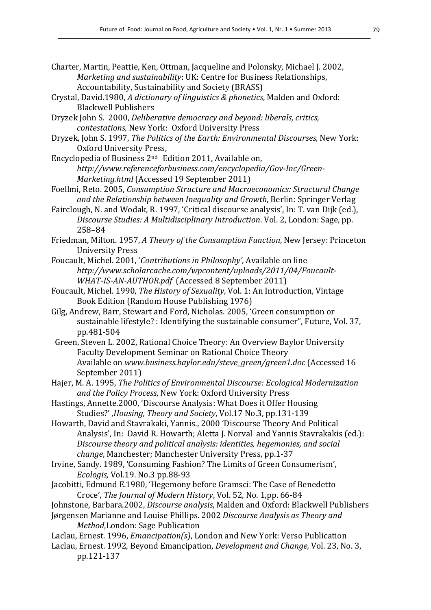| Charter, Martin, Peattie, Ken, Ottman, Jacqueline and Polonsky, Michael J. 2002, |  |
|----------------------------------------------------------------------------------|--|
| <i>Marketing and sustainability: UK: Centre for Business Relationships,</i>      |  |
| Accountability, Sustainability and Society (BRASS)                               |  |

Crystal, David.1980, *A dictionary of linguistics & phonetics*, Malden and Oxford: Blackwell Publishers

Dryzek John S. 2000, *Deliberative democracy and beyond: liberals, critics, contestations,* New York: Oxford University Press

- Dryzek, John S. 1997, *The Politics of the Earth: Environmental Discourses*, New York: Oxford University Press.
- Encyclopedia of Business  $2<sup>nd</sup>$  Edition 2011, Available on, *http://www.referenceforbusiness.com/encyclopedia/Gov-Inc/Green- Marketing.html* (Accessed 19 September 2011)
- Foellmi, Reto. 2005, *Consumption Structure and Macroeconomics: Structural Chanae* and the Relationship between Inequality and Growth, Berlin: Springer Verlag
- Fairclough, N. and Wodak, R. 1997, 'Critical discourse analysis', In: T. van Dijk (ed.), *Discourse Studies: A Multidisciplinary Introduction.* Vol. 2, London: Sage, pp. 258–84
- Friedman, Milton. 1957, *A Theory of the Consumption Function*, New Jersey: Princeton University Press
- Foucault, Michel. 2001, 'Contributions in Philosophy', Available on line *http://www.scholarcache.com/wpcontent/uploads/2011/04/Foucault-*  WHAT-IS-AN-AUTHOR.pdf (Accessed 8 September 2011)
- Foucault, Michel. 1990, *The History of Sexuality*, Vol. 1: An Introduction, Vintage Book Edition (Random House Publishing 1976)
- Gilg, Andrew, Barr, Stewart and Ford, Nicholas. 2005, 'Green consumption or sustainable lifestyle? : Identifying the sustainable consumer", Future, Vol. 37, pp.481-504
- Green, Steven L. 2002, Rational Choice Theory: An Overview Baylor University Faculty Development Seminar on Rational Choice Theory Available on www.business.baylor.edu/steve\_green/green1.doc (Accessed 16 September 2011)
- Hajer, M. A. 1995, *The Politics of Environmental Discourse: Ecological Modernization* and the Policy Process, New York: Oxford University Press
- Hastings, Annette.2000, 'Discourse Analysis: What Does it Offer Housing Studies?' ,*Housing, Theory and Society*, Vol.17 No.3, pp.131-139
- Howarth, David and Stavrakaki, Yannis., 2000 'Discourse Theory And Political Analysis', In: David R. Howarth; Aletta J. Norval and Yannis Stavrakakis (ed.): *Discourse theory and political analysis: identities, hegemonies, and social change*, Manchester; Manchester University Press, pp.1-37
- Irvine, Sandy. 1989, 'Consuming Fashion? The Limits of Green Consumerism', *Ecologis,* Vol.19. No.3 pp.88-93
- Jacobitti, Edmund E.1980, 'Hegemony before Gramsci: The Case of Benedetto Croce', *The Journal of Modern History*, Vol. 52, No. 1,pp. 66-84
- Johnstone, Barbara.2002, *Discourse analysis*, Malden and Oxford: Blackwell Publishers Jørgensen Marianne and Louise Phillips. 2002 *Discourse Analysis as Theory and* 
	- *Method*, London: Sage Publication
- Laclau, Ernest. 1996, *Emancipation(s)*, London and New York: Verso Publication
- Laclau, Ernest. 1992, Beyond Emancipation, *Development and Change*, Vol. 23, No. 3, pp.121-137